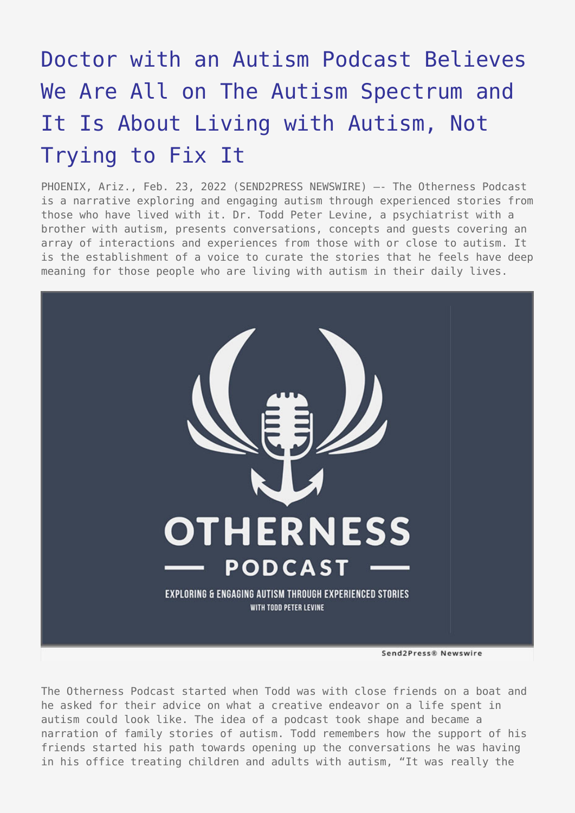## [Doctor with an Autism Podcast Believes](https://www.send2press.com/wire/doctor-with-an-autism-podcast-believes-we-are-all-on-the-autism-spectrum-and-it-is-about-living-with-autism-not-trying-to-fix-it/) [We Are All on The Autism Spectrum and](https://www.send2press.com/wire/doctor-with-an-autism-podcast-believes-we-are-all-on-the-autism-spectrum-and-it-is-about-living-with-autism-not-trying-to-fix-it/) [It Is About Living with Autism, Not](https://www.send2press.com/wire/doctor-with-an-autism-podcast-believes-we-are-all-on-the-autism-spectrum-and-it-is-about-living-with-autism-not-trying-to-fix-it/) [Trying to Fix It](https://www.send2press.com/wire/doctor-with-an-autism-podcast-believes-we-are-all-on-the-autism-spectrum-and-it-is-about-living-with-autism-not-trying-to-fix-it/)

PHOENIX, Ariz., Feb. 23, 2022 (SEND2PRESS NEWSWIRE) -- The Otherness Podcast is a narrative exploring and engaging autism through experienced stories from those who have lived with it. Dr. Todd Peter Levine, a psychiatrist with a brother with autism, presents conversations, concepts and guests covering an array of interactions and experiences from those with or close to autism. It is the establishment of a voice to curate the stories that he feels have deep meaning for those people who are living with autism in their daily lives.



The Otherness Podcast started when Todd was with close friends on a boat and he asked for their advice on what a creative endeavor on a life spent in autism could look like. The idea of a podcast took shape and became a narration of family stories of autism. Todd remembers how the support of his friends started his path towards opening up the conversations he was having in his office treating children and adults with autism, "It was really the